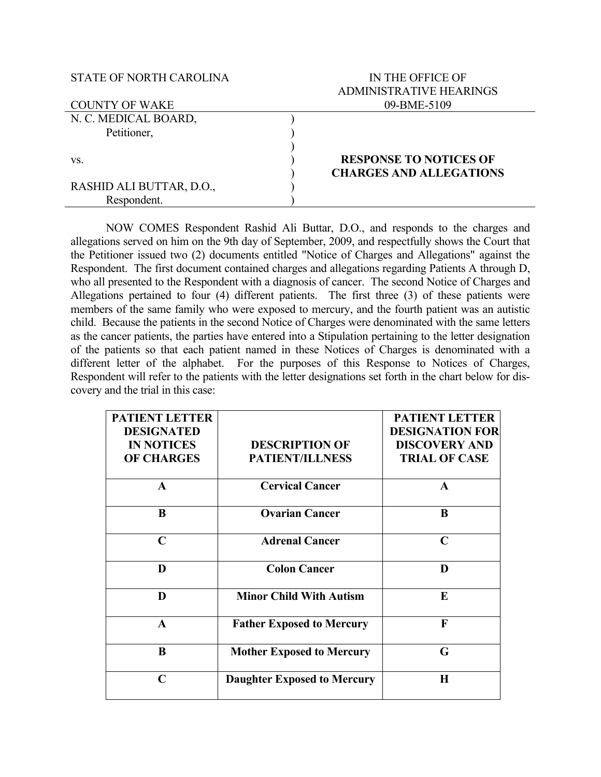## STATE OF NORTH CAROLINA

## IN THE OFFICE OF ADMINISTRATIVE HEARINGS 09-BME-5109

| <b>COUNTY OF WAKE</b>    | 09-BME-5109                    |  |
|--------------------------|--------------------------------|--|
| N. C. MEDICAL BOARD,     |                                |  |
| Petitioner,              |                                |  |
|                          |                                |  |
| VS.                      | <b>RESPONSE TO NOTICES OF</b>  |  |
|                          | <b>CHARGES AND ALLEGATIONS</b> |  |
| RASHID ALI BUTTAR, D.O., |                                |  |
| Respondent.              |                                |  |

NOW COMES Respondent Rashid Ali Buttar, D.O., and responds to the charges and allegations served on him on the 9th day of September, 2009, and respectfully shows the Court that the Petitioner issued two (2) documents entitled "Notice of Charges and Allegations" against the Respondent. The first document contained charges and allegations regarding Patients A through D, who all presented to the Respondent with a diagnosis of cancer. The second Notice of Charges and Allegations pertained to four (4) different patients. The first three (3) of these patients were members of the same family who were exposed to mercury, and the fourth patient was an autistic child. Because the patients in the second Notice of Charges were denominated with the same letters as the cancer patients, the parties have entered into a Stipulation pertaining to the letter designation of the patients so that each patient named in these Notices of Charges is denominated with a different letter of the alphabet. For the purposes of this Response to Notices of Charges, Respondent will refer to the patients with the letter designations set forth in the chart below for discovery and the trial in this case:

| <b>PATIENT LETTER</b> |                                    | <b>PATIENT LETTER</b>  |
|-----------------------|------------------------------------|------------------------|
| <b>DESIGNATED</b>     |                                    | <b>DESIGNATION FOR</b> |
| <b>IN NOTICES</b>     | <b>DESCRIPTION OF</b>              | <b>DISCOVERY AND</b>   |
| <b>OF CHARGES</b>     | <b>PATIENT/ILLNESS</b>             | <b>TRIAL OF CASE</b>   |
| A                     | <b>Cervical Cancer</b>             | A                      |
| B                     | <b>Ovarian Cancer</b>              | B                      |
| $\mathbf C$           | <b>Adrenal Cancer</b>              | $\mathbf C$            |
| D                     | <b>Colon Cancer</b>                | D                      |
| D                     | <b>Minor Child With Autism</b>     | E                      |
| $\mathbf{A}$          | <b>Father Exposed to Mercury</b>   | F                      |
| B                     | <b>Mother Exposed to Mercury</b>   | G                      |
| C                     | <b>Daughter Exposed to Mercury</b> | $\bf H$                |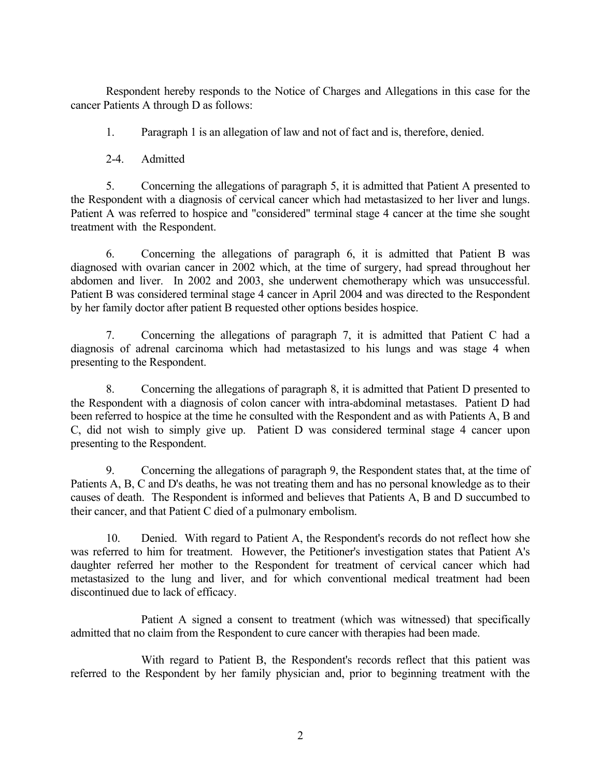Respondent hereby responds to the Notice of Charges and Allegations in this case for the cancer Patients A through D as follows:

1. Paragraph 1 is an allegation of law and not of fact and is, therefore, denied.

2-4. Admitted

5. Concerning the allegations of paragraph 5, it is admitted that Patient A presented to the Respondent with a diagnosis of cervical cancer which had metastasized to her liver and lungs. Patient A was referred to hospice and "considered" terminal stage 4 cancer at the time she sought treatment with the Respondent.

6. Concerning the allegations of paragraph 6, it is admitted that Patient B was diagnosed with ovarian cancer in 2002 which, at the time of surgery, had spread throughout her abdomen and liver. In 2002 and 2003, she underwent chemotherapy which was unsuccessful. Patient B was considered terminal stage 4 cancer in April 2004 and was directed to the Respondent by her family doctor after patient B requested other options besides hospice.

7. Concerning the allegations of paragraph 7, it is admitted that Patient C had a diagnosis of adrenal carcinoma which had metastasized to his lungs and was stage 4 when presenting to the Respondent.

8. Concerning the allegations of paragraph 8, it is admitted that Patient D presented to the Respondent with a diagnosis of colon cancer with intra-abdominal metastases. Patient D had been referred to hospice at the time he consulted with the Respondent and as with Patients A, B and C, did not wish to simply give up. Patient D was considered terminal stage 4 cancer upon presenting to the Respondent.

9. Concerning the allegations of paragraph 9, the Respondent states that, at the time of Patients A, B, C and D's deaths, he was not treating them and has no personal knowledge as to their causes of death. The Respondent is informed and believes that Patients A, B and D succumbed to their cancer, and that Patient C died of a pulmonary embolism.

10. Denied. With regard to Patient A, the Respondent's records do not reflect how she was referred to him for treatment. However, the Petitioner's investigation states that Patient A's daughter referred her mother to the Respondent for treatment of cervical cancer which had metastasized to the lung and liver, and for which conventional medical treatment had been discontinued due to lack of efficacy.

Patient A signed a consent to treatment (which was witnessed) that specifically admitted that no claim from the Respondent to cure cancer with therapies had been made.

With regard to Patient B, the Respondent's records reflect that this patient was referred to the Respondent by her family physician and, prior to beginning treatment with the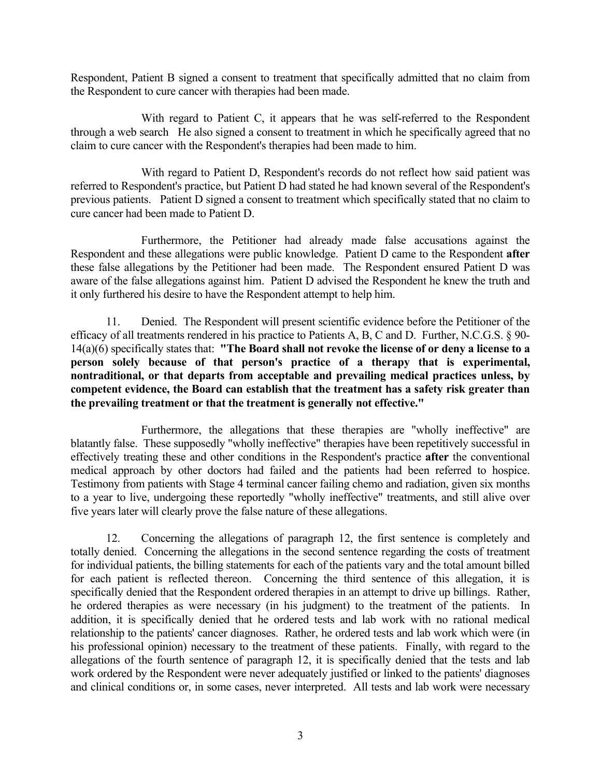Respondent, Patient B signed a consent to treatment that specifically admitted that no claim from the Respondent to cure cancer with therapies had been made.

With regard to Patient C, it appears that he was self-referred to the Respondent through a web search He also signed a consent to treatment in which he specifically agreed that no claim to cure cancer with the Respondent's therapies had been made to him.

With regard to Patient D, Respondent's records do not reflect how said patient was referred to Respondent's practice, but Patient D had stated he had known several of the Respondent's previous patients. Patient D signed a consent to treatment which specifically stated that no claim to cure cancer had been made to Patient D.

Furthermore, the Petitioner had already made false accusations against the Respondent and these allegations were public knowledge. Patient D came to the Respondent **after** these false allegations by the Petitioner had been made. The Respondent ensured Patient D was aware of the false allegations against him. Patient D advised the Respondent he knew the truth and it only furthered his desire to have the Respondent attempt to help him.

11. Denied. The Respondent will present scientific evidence before the Petitioner of the efficacy of all treatments rendered in his practice to Patients A, B, C and D. Further, N.C.G.S. § 90- 14(a)(6) specifically states that: **"The Board shall not revoke the license of or deny a license to a person solely because of that person's practice of a therapy that is experimental, nontraditional, or that departs from acceptable and prevailing medical practices unless, by competent evidence, the Board can establish that the treatment has a safety risk greater than the prevailing treatment or that the treatment is generally not effective."**

Furthermore, the allegations that these therapies are "wholly ineffective" are blatantly false. These supposedly "wholly ineffective" therapies have been repetitively successful in effectively treating these and other conditions in the Respondent's practice **after** the conventional medical approach by other doctors had failed and the patients had been referred to hospice. Testimony from patients with Stage 4 terminal cancer failing chemo and radiation, given six months to a year to live, undergoing these reportedly "wholly ineffective" treatments, and still alive over five years later will clearly prove the false nature of these allegations.

12. Concerning the allegations of paragraph 12, the first sentence is completely and totally denied. Concerning the allegations in the second sentence regarding the costs of treatment for individual patients, the billing statements for each of the patients vary and the total amount billed for each patient is reflected thereon. Concerning the third sentence of this allegation, it is specifically denied that the Respondent ordered therapies in an attempt to drive up billings. Rather, he ordered therapies as were necessary (in his judgment) to the treatment of the patients. In addition, it is specifically denied that he ordered tests and lab work with no rational medical relationship to the patients' cancer diagnoses. Rather, he ordered tests and lab work which were (in his professional opinion) necessary to the treatment of these patients. Finally, with regard to the allegations of the fourth sentence of paragraph 12, it is specifically denied that the tests and lab work ordered by the Respondent were never adequately justified or linked to the patients' diagnoses and clinical conditions or, in some cases, never interpreted. All tests and lab work were necessary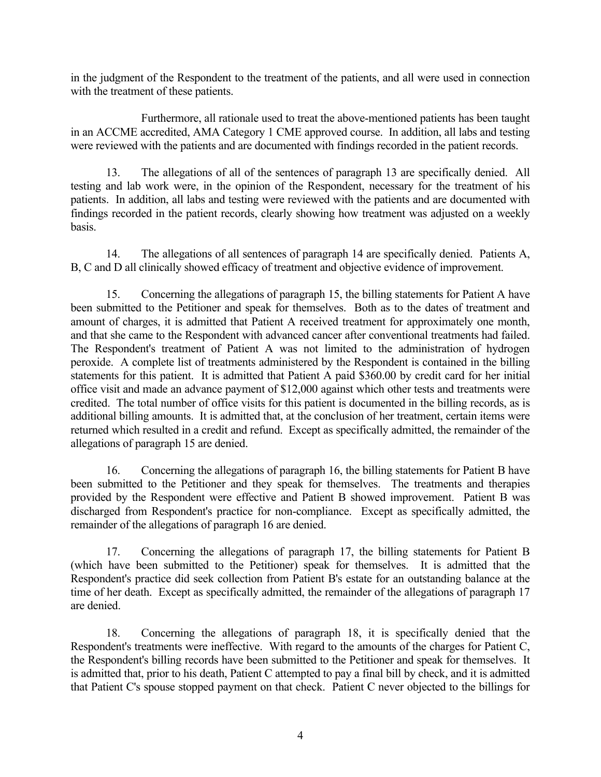in the judgment of the Respondent to the treatment of the patients, and all were used in connection with the treatment of these patients.

Furthermore, all rationale used to treat the above-mentioned patients has been taught in an ACCME accredited, AMA Category 1 CME approved course. In addition, all labs and testing were reviewed with the patients and are documented with findings recorded in the patient records.

13. The allegations of all of the sentences of paragraph 13 are specifically denied. All testing and lab work were, in the opinion of the Respondent, necessary for the treatment of his patients. In addition, all labs and testing were reviewed with the patients and are documented with findings recorded in the patient records, clearly showing how treatment was adjusted on a weekly basis.

14. The allegations of all sentences of paragraph 14 are specifically denied. Patients A, B, C and D all clinically showed efficacy of treatment and objective evidence of improvement.

15. Concerning the allegations of paragraph 15, the billing statements for Patient A have been submitted to the Petitioner and speak for themselves. Both as to the dates of treatment and amount of charges, it is admitted that Patient A received treatment for approximately one month, and that she came to the Respondent with advanced cancer after conventional treatments had failed. The Respondent's treatment of Patient A was not limited to the administration of hydrogen peroxide. A complete list of treatments administered by the Respondent is contained in the billing statements for this patient. It is admitted that Patient A paid \$360.00 by credit card for her initial office visit and made an advance payment of \$12,000 against which other tests and treatments were credited. The total number of office visits for this patient is documented in the billing records, as is additional billing amounts. It is admitted that, at the conclusion of her treatment, certain items were returned which resulted in a credit and refund. Except as specifically admitted, the remainder of the allegations of paragraph 15 are denied.

16. Concerning the allegations of paragraph 16, the billing statements for Patient B have been submitted to the Petitioner and they speak for themselves. The treatments and therapies provided by the Respondent were effective and Patient B showed improvement. Patient B was discharged from Respondent's practice for non-compliance. Except as specifically admitted, the remainder of the allegations of paragraph 16 are denied.

17. Concerning the allegations of paragraph 17, the billing statements for Patient B (which have been submitted to the Petitioner) speak for themselves. It is admitted that the Respondent's practice did seek collection from Patient B's estate for an outstanding balance at the time of her death. Except as specifically admitted, the remainder of the allegations of paragraph 17 are denied.

18. Concerning the allegations of paragraph 18, it is specifically denied that the Respondent's treatments were ineffective. With regard to the amounts of the charges for Patient C, the Respondent's billing records have been submitted to the Petitioner and speak for themselves. It is admitted that, prior to his death, Patient C attempted to pay a final bill by check, and it is admitted that Patient C's spouse stopped payment on that check. Patient C never objected to the billings for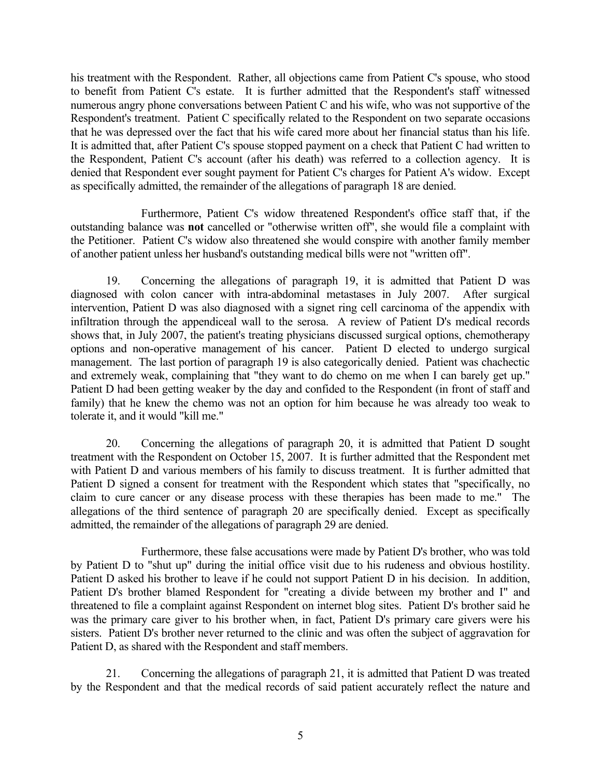his treatment with the Respondent. Rather, all objections came from Patient C's spouse, who stood to benefit from Patient C's estate. It is further admitted that the Respondent's staff witnessed numerous angry phone conversations between Patient C and his wife, who was not supportive of the Respondent's treatment. Patient C specifically related to the Respondent on two separate occasions that he was depressed over the fact that his wife cared more about her financial status than his life. It is admitted that, after Patient C's spouse stopped payment on a check that Patient C had written to the Respondent, Patient C's account (after his death) was referred to a collection agency. It is denied that Respondent ever sought payment for Patient C's charges for Patient A's widow. Except as specifically admitted, the remainder of the allegations of paragraph 18 are denied.

Furthermore, Patient C's widow threatened Respondent's office staff that, if the outstanding balance was **not** cancelled or "otherwise written off", she would file a complaint with the Petitioner. Patient C's widow also threatened she would conspire with another family member of another patient unless her husband's outstanding medical bills were not "written off".

19. Concerning the allegations of paragraph 19, it is admitted that Patient D was diagnosed with colon cancer with intra-abdominal metastases in July 2007. After surgical intervention, Patient D was also diagnosed with a signet ring cell carcinoma of the appendix with infiltration through the appendiceal wall to the serosa. A review of Patient D's medical records shows that, in July 2007, the patient's treating physicians discussed surgical options, chemotherapy options and non-operative management of his cancer. Patient D elected to undergo surgical management. The last portion of paragraph 19 is also categorically denied. Patient was chachectic and extremely weak, complaining that "they want to do chemo on me when I can barely get up." Patient D had been getting weaker by the day and confided to the Respondent (in front of staff and family) that he knew the chemo was not an option for him because he was already too weak to tolerate it, and it would "kill me."

20. Concerning the allegations of paragraph 20, it is admitted that Patient D sought treatment with the Respondent on October 15, 2007. It is further admitted that the Respondent met with Patient D and various members of his family to discuss treatment. It is further admitted that Patient D signed a consent for treatment with the Respondent which states that "specifically, no claim to cure cancer or any disease process with these therapies has been made to me." The allegations of the third sentence of paragraph 20 are specifically denied. Except as specifically admitted, the remainder of the allegations of paragraph 29 are denied.

Furthermore, these false accusations were made by Patient D's brother, who was told by Patient D to "shut up" during the initial office visit due to his rudeness and obvious hostility. Patient D asked his brother to leave if he could not support Patient D in his decision. In addition, Patient D's brother blamed Respondent for "creating a divide between my brother and I" and threatened to file a complaint against Respondent on internet blog sites. Patient D's brother said he was the primary care giver to his brother when, in fact, Patient D's primary care givers were his sisters. Patient D's brother never returned to the clinic and was often the subject of aggravation for Patient D, as shared with the Respondent and staff members.

21. Concerning the allegations of paragraph 21, it is admitted that Patient D was treated by the Respondent and that the medical records of said patient accurately reflect the nature and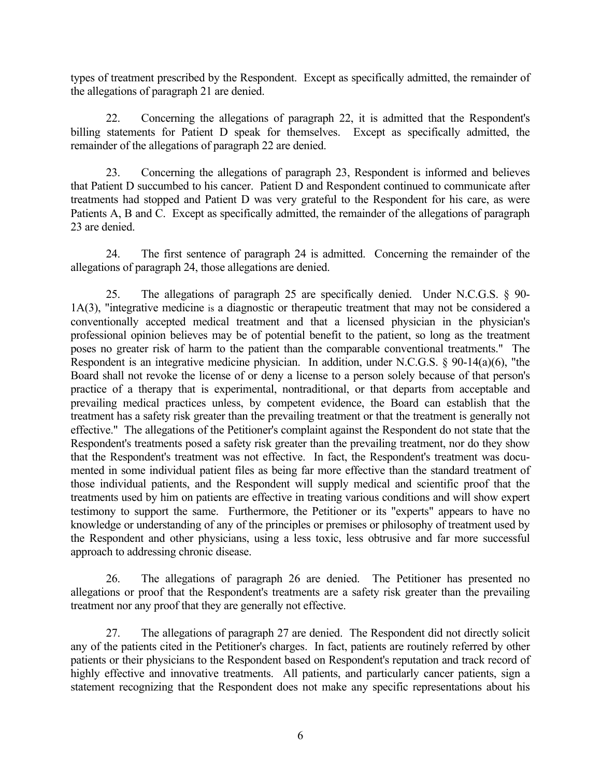types of treatment prescribed by the Respondent. Except as specifically admitted, the remainder of the allegations of paragraph 21 are denied.

22. Concerning the allegations of paragraph 22, it is admitted that the Respondent's billing statements for Patient D speak for themselves. Except as specifically admitted, the remainder of the allegations of paragraph 22 are denied.

23. Concerning the allegations of paragraph 23, Respondent is informed and believes that Patient D succumbed to his cancer. Patient D and Respondent continued to communicate after treatments had stopped and Patient D was very grateful to the Respondent for his care, as were Patients A, B and C. Except as specifically admitted, the remainder of the allegations of paragraph 23 are denied.

24. The first sentence of paragraph 24 is admitted. Concerning the remainder of the allegations of paragraph 24, those allegations are denied.

25. The allegations of paragraph 25 are specifically denied. Under N.C.G.S. § 90- 1A(3), "integrative medicine is a diagnostic or therapeutic treatment that may not be considered a conventionally accepted medical treatment and that a licensed physician in the physician's professional opinion believes may be of potential benefit to the patient, so long as the treatment poses no greater risk of harm to the patient than the comparable conventional treatments." The Respondent is an integrative medicine physician. In addition, under N.C.G.S. § 90-14(a)(6), "the Board shall not revoke the license of or deny a license to a person solely because of that person's practice of a therapy that is experimental, nontraditional, or that departs from acceptable and prevailing medical practices unless, by competent evidence, the Board can establish that the treatment has a safety risk greater than the prevailing treatment or that the treatment is generally not effective." The allegations of the Petitioner's complaint against the Respondent do not state that the Respondent's treatments posed a safety risk greater than the prevailing treatment, nor do they show that the Respondent's treatment was not effective. In fact, the Respondent's treatment was documented in some individual patient files as being far more effective than the standard treatment of those individual patients, and the Respondent will supply medical and scientific proof that the treatments used by him on patients are effective in treating various conditions and will show expert testimony to support the same. Furthermore, the Petitioner or its "experts" appears to have no knowledge or understanding of any of the principles or premises or philosophy of treatment used by the Respondent and other physicians, using a less toxic, less obtrusive and far more successful approach to addressing chronic disease.

26. The allegations of paragraph 26 are denied. The Petitioner has presented no allegations or proof that the Respondent's treatments are a safety risk greater than the prevailing treatment nor any proof that they are generally not effective.

27. The allegations of paragraph 27 are denied. The Respondent did not directly solicit any of the patients cited in the Petitioner's charges. In fact, patients are routinely referred by other patients or their physicians to the Respondent based on Respondent's reputation and track record of highly effective and innovative treatments. All patients, and particularly cancer patients, sign a statement recognizing that the Respondent does not make any specific representations about his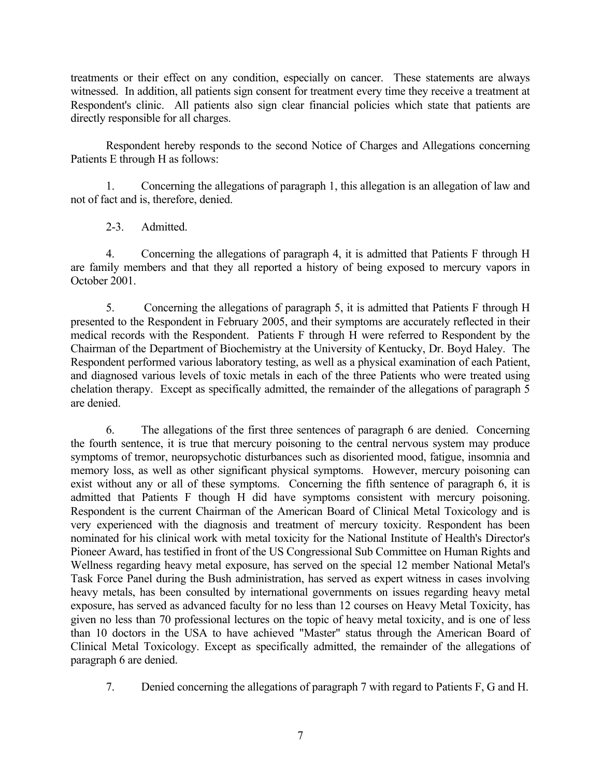treatments or their effect on any condition, especially on cancer. These statements are always witnessed. In addition, all patients sign consent for treatment every time they receive a treatment at Respondent's clinic. All patients also sign clear financial policies which state that patients are directly responsible for all charges.

Respondent hereby responds to the second Notice of Charges and Allegations concerning Patients E through H as follows:

1. Concerning the allegations of paragraph 1, this allegation is an allegation of law and not of fact and is, therefore, denied.

2-3. Admitted.

4. Concerning the allegations of paragraph 4, it is admitted that Patients F through H are family members and that they all reported a history of being exposed to mercury vapors in October 2001.

5. Concerning the allegations of paragraph 5, it is admitted that Patients F through H presented to the Respondent in February 2005, and their symptoms are accurately reflected in their medical records with the Respondent. Patients F through H were referred to Respondent by the Chairman of the Department of Biochemistry at the University of Kentucky, Dr. Boyd Haley. The Respondent performed various laboratory testing, as well as a physical examination of each Patient, and diagnosed various levels of toxic metals in each of the three Patients who were treated using chelation therapy. Except as specifically admitted, the remainder of the allegations of paragraph 5 are denied.

6. The allegations of the first three sentences of paragraph 6 are denied. Concerning the fourth sentence, it is true that mercury poisoning to the central nervous system may produce symptoms of tremor, neuropsychotic disturbances such as disoriented mood, fatigue, insomnia and memory loss, as well as other significant physical symptoms. However, mercury poisoning can exist without any or all of these symptoms. Concerning the fifth sentence of paragraph 6, it is admitted that Patients F though H did have symptoms consistent with mercury poisoning. Respondent is the current Chairman of the American Board of Clinical Metal Toxicology and is very experienced with the diagnosis and treatment of mercury toxicity. Respondent has been nominated for his clinical work with metal toxicity for the National Institute of Health's Director's Pioneer Award, has testified in front of the US Congressional Sub Committee on Human Rights and Wellness regarding heavy metal exposure, has served on the special 12 member National Metal's Task Force Panel during the Bush administration, has served as expert witness in cases involving heavy metals, has been consulted by international governments on issues regarding heavy metal exposure, has served as advanced faculty for no less than 12 courses on Heavy Metal Toxicity, has given no less than 70 professional lectures on the topic of heavy metal toxicity, and is one of less than 10 doctors in the USA to have achieved "Master" status through the American Board of Clinical Metal Toxicology. Except as specifically admitted, the remainder of the allegations of paragraph 6 are denied.

7. Denied concerning the allegations of paragraph 7 with regard to Patients F, G and H.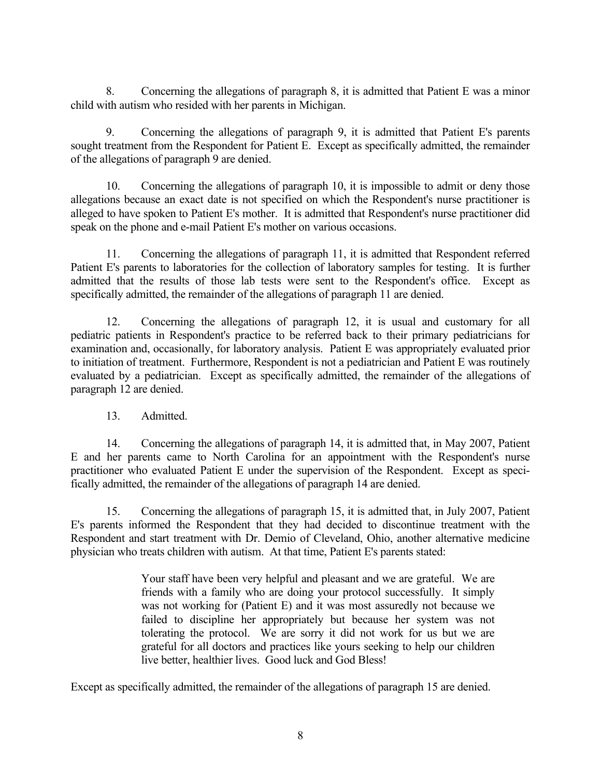8. Concerning the allegations of paragraph 8, it is admitted that Patient E was a minor child with autism who resided with her parents in Michigan.

9. Concerning the allegations of paragraph 9, it is admitted that Patient E's parents sought treatment from the Respondent for Patient E. Except as specifically admitted, the remainder of the allegations of paragraph 9 are denied.

10. Concerning the allegations of paragraph 10, it is impossible to admit or deny those allegations because an exact date is not specified on which the Respondent's nurse practitioner is alleged to have spoken to Patient E's mother. It is admitted that Respondent's nurse practitioner did speak on the phone and e-mail Patient E's mother on various occasions.

11. Concerning the allegations of paragraph 11, it is admitted that Respondent referred Patient E's parents to laboratories for the collection of laboratory samples for testing. It is further admitted that the results of those lab tests were sent to the Respondent's office. Except as specifically admitted, the remainder of the allegations of paragraph 11 are denied.

12. Concerning the allegations of paragraph 12, it is usual and customary for all pediatric patients in Respondent's practice to be referred back to their primary pediatricians for examination and, occasionally, for laboratory analysis. Patient E was appropriately evaluated prior to initiation of treatment. Furthermore, Respondent is not a pediatrician and Patient E was routinely evaluated by a pediatrician. Except as specifically admitted, the remainder of the allegations of paragraph 12 are denied.

13. Admitted.

14. Concerning the allegations of paragraph 14, it is admitted that, in May 2007, Patient E and her parents came to North Carolina for an appointment with the Respondent's nurse practitioner who evaluated Patient E under the supervision of the Respondent. Except as specifically admitted, the remainder of the allegations of paragraph 14 are denied.

15. Concerning the allegations of paragraph 15, it is admitted that, in July 2007, Patient E's parents informed the Respondent that they had decided to discontinue treatment with the Respondent and start treatment with Dr. Demio of Cleveland, Ohio, another alternative medicine physician who treats children with autism. At that time, Patient E's parents stated:

> Your staff have been very helpful and pleasant and we are grateful. We are friends with a family who are doing your protocol successfully. It simply was not working for (Patient E) and it was most assuredly not because we failed to discipline her appropriately but because her system was not tolerating the protocol. We are sorry it did not work for us but we are grateful for all doctors and practices like yours seeking to help our children live better, healthier lives. Good luck and God Bless!

Except as specifically admitted, the remainder of the allegations of paragraph 15 are denied.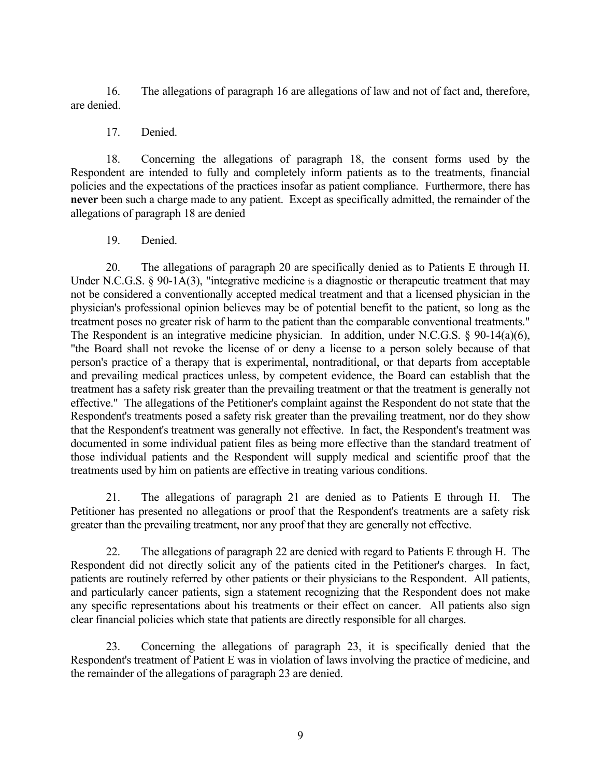16. The allegations of paragraph 16 are allegations of law and not of fact and, therefore, are denied.

17. Denied.

18. Concerning the allegations of paragraph 18, the consent forms used by the Respondent are intended to fully and completely inform patients as to the treatments, financial policies and the expectations of the practices insofar as patient compliance. Furthermore, there has **never** been such a charge made to any patient. Except as specifically admitted, the remainder of the allegations of paragraph 18 are denied

19. Denied.

20. The allegations of paragraph 20 are specifically denied as to Patients E through H. Under N.C.G.S. § 90-1A(3), "integrative medicine is a diagnostic or therapeutic treatment that may not be considered a conventionally accepted medical treatment and that a licensed physician in the physician's professional opinion believes may be of potential benefit to the patient, so long as the treatment poses no greater risk of harm to the patient than the comparable conventional treatments." The Respondent is an integrative medicine physician. In addition, under N.C.G.S. § 90-14(a)(6), "the Board shall not revoke the license of or deny a license to a person solely because of that person's practice of a therapy that is experimental, nontraditional, or that departs from acceptable and prevailing medical practices unless, by competent evidence, the Board can establish that the treatment has a safety risk greater than the prevailing treatment or that the treatment is generally not effective." The allegations of the Petitioner's complaint against the Respondent do not state that the Respondent's treatments posed a safety risk greater than the prevailing treatment, nor do they show that the Respondent's treatment was generally not effective. In fact, the Respondent's treatment was documented in some individual patient files as being more effective than the standard treatment of those individual patients and the Respondent will supply medical and scientific proof that the treatments used by him on patients are effective in treating various conditions.

21. The allegations of paragraph 21 are denied as to Patients E through H. The Petitioner has presented no allegations or proof that the Respondent's treatments are a safety risk greater than the prevailing treatment, nor any proof that they are generally not effective.

22. The allegations of paragraph 22 are denied with regard to Patients E through H. The Respondent did not directly solicit any of the patients cited in the Petitioner's charges. In fact, patients are routinely referred by other patients or their physicians to the Respondent. All patients, and particularly cancer patients, sign a statement recognizing that the Respondent does not make any specific representations about his treatments or their effect on cancer. All patients also sign clear financial policies which state that patients are directly responsible for all charges.

23. Concerning the allegations of paragraph 23, it is specifically denied that the Respondent's treatment of Patient E was in violation of laws involving the practice of medicine, and the remainder of the allegations of paragraph 23 are denied.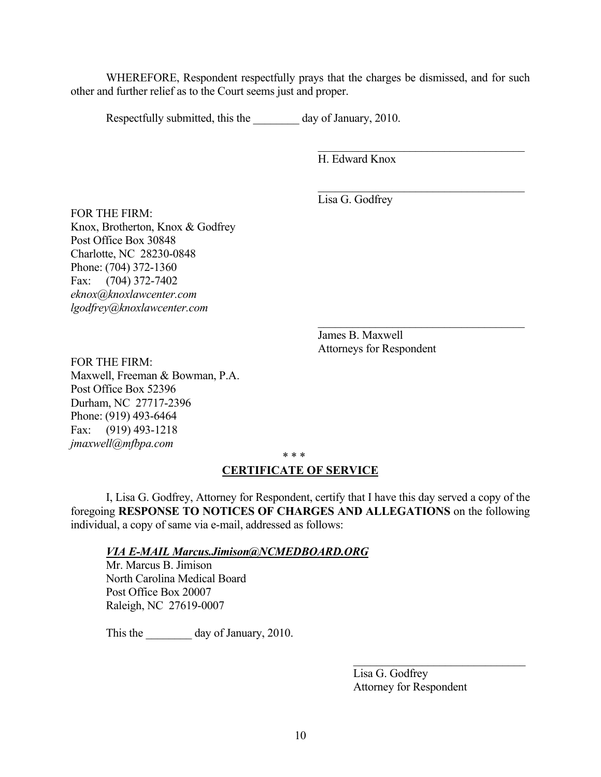WHEREFORE, Respondent respectfully prays that the charges be dismissed, and for such other and further relief as to the Court seems just and proper.

Respectfully submitted, this the day of January, 2010.

H. Edward Knox

 $\mathcal{L}_\text{max}$  , where  $\mathcal{L}_\text{max}$  and  $\mathcal{L}_\text{max}$  and  $\mathcal{L}_\text{max}$ 

 $\mathcal{L}_\text{max}$  , where  $\mathcal{L}_\text{max}$  and  $\mathcal{L}_\text{max}$  and  $\mathcal{L}_\text{max}$ 

 $\mathcal{L}_\text{max}$  , where  $\mathcal{L}_\text{max}$  and  $\mathcal{L}_\text{max}$  and  $\mathcal{L}_\text{max}$ Lisa G. Godfrey

FOR THE FIRM: Knox, Brotherton, Knox & Godfrey Post Office Box 30848 Charlotte, NC 28230-0848 Phone: (704) 372-1360 Fax: (704) 372-7402 *eknox@knoxlawcenter.com lgodfrey@knoxlawcenter.com*

> James B. Maxwell Attorneys for Respondent

FOR THE FIRM: Maxwell, Freeman & Bowman, P.A. Post Office Box 52396 Durham, NC 27717-2396 Phone: (919) 493-6464 Fax: (919) 493-1218 *jmaxwell@mfbpa.com*

\* \* \*

## **CERTIFICATE OF SERVICE**

I, Lisa G. Godfrey, Attorney for Respondent, certify that I have this day served a copy of the foregoing **RESPONSE TO NOTICES OF CHARGES AND ALLEGATIONS** on the following individual, a copy of same via e-mail, addressed as follows:

*VIA E-MAIL Marcus.Jimison@NCMEDBOARD.ORG*

Mr. Marcus B. Jimison North Carolina Medical Board Post Office Box 20007 Raleigh, NC 27619-0007

This the day of January, 2010.

Lisa G. Godfrey Attorney for Respondent

 $\mathcal{L}_\text{max}$  , where  $\mathcal{L}_\text{max}$  and  $\mathcal{L}_\text{max}$  and  $\mathcal{L}_\text{max}$